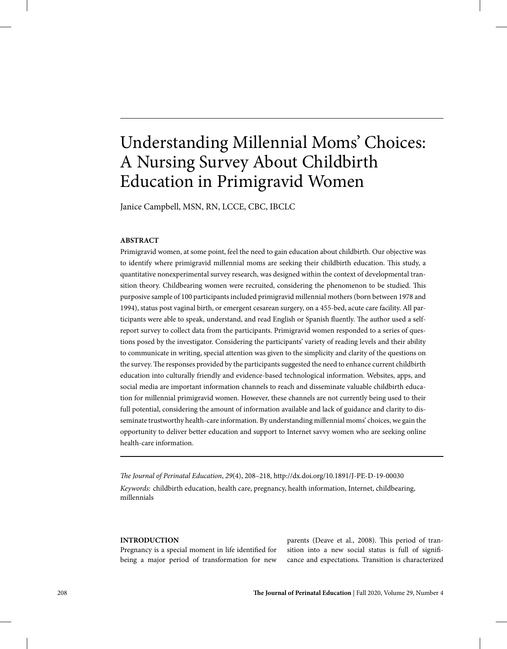# Understanding Millennial Moms' Choices: A Nursing Survey About Childbirth Education in Primigravid Women

Janice Campbell, MSN, RN, LCCE, CBC, IBCLC

# **ABSTRACT**

Primigravid women, at some point, feel the need to gain education about childbirth. Our objective was to identify where primigravid millennial moms are seeking their childbirth education. This study, a quantitative nonexperimental survey research, was designed within the context of developmental transition theory. Childbearing women were recruited, considering the phenomenon to be studied. This purposive sample of 100 participants included primigravid millennial mothers (born between 1978 and 1994), status post vaginal birth, or emergent cesarean surgery, on a 455-bed, acute care facility. All participants were able to speak, understand, and read English or Spanish fluently. The author used a selfreport survey to collect data from the participants. Primigravid women responded to a series of questions posed by the investigator. Considering the participants' variety of reading levels and their ability to communicate in writing, special attention was given to the simplicity and clarity of the questions on the survey. The responses provided by the participants suggested the need to enhance current childbirth education into culturally friendly and evidence-based technological information. Websites, apps, and social media are important information channels to reach and disseminate valuable childbirth education for millennial primigravid women. However, these channels are not currently being used to their full potential, considering the amount of information available and lack of guidance and clarity to disseminate trustworthy health-care information. By understanding millennial moms' choices, we gain the opportunity to deliver better education and support to Internet savvy women who are seeking online health-care information.

*The Journal of Perinatal Education*, *29*(4), 208–218, http://dx.doi.org/10.1891/J-PE-D-19-00030 *Keywords:* childbirth education, health care, pregnancy, health information, Internet, childbearing, millennials

## **INTRODUCTION**

Pregnancy is a special moment in life identified for being a major period of transformation for new parents (Deave et al., 2008). This period of transition into a new social status is full of significance and expectations. Transition is characterized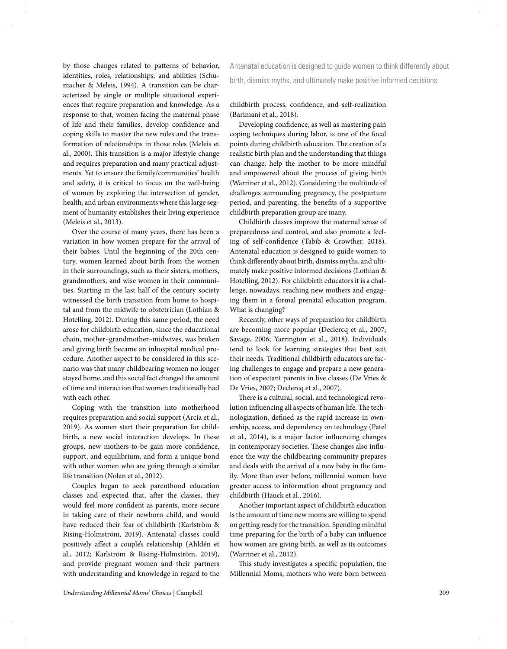by those changes related to patterns of behavior, identities, roles, relationships, and abilities (Schumacher & Meleis, 1994). A transition can be characterized by single or multiple situational experiences that require preparation and knowledge. As a response to that, women facing the maternal phase of life and their families, develop confidence and coping skills to master the new roles and the transformation of relationships in those roles (Meleis et al., 2000). This transition is a major lifestyle change and requires preparation and many practical adjustments. Yet to ensure the family/communities' health and safety, it is critical to focus on the well-being of women by exploring the intersection of gender, health, and urban environments where this large segment of humanity establishes their living experience (Meleis et al., 2013).

Over the course of many years, there has been a variation in how women prepare for the arrival of their babies. Until the beginning of the 20th century, women learned about birth from the women in their surroundings, such as their sisters, mothers, grandmothers, and wise women in their communities. Starting in the last half of the century society witnessed the birth transition from home to hospital and from the midwife to obstetrician (Lothian & Hotelling, 2012). During this same period, the need arose for childbirth education, since the educational chain, mother–grandmother–midwives, was broken and giving birth became an inhospital medical procedure. Another aspect to be considered in this scenario was that many childbearing women no longer stayed home, and this social fact changed the amount of time and interaction that women traditionally had with each other.

Coping with the transition into motherhood requires preparation and social support (Arcia et al., 2019). As women start their preparation for childbirth, a new social interaction develops. In these groups, new mothers-to-be gain more confidence, support, and equilibrium, and form a unique bond with other women who are going through a similar life transition (Nolan et al., 2012).

Couples began to seek parenthood education classes and expected that, after the classes, they would feel more confident as parents, more secure in taking care of their newborn child, and would have reduced their fear of childbirth (Karlström & Rising-Holmström, 2019). Antenatal classes could positively affect a couple's relationship (Ahldén et al., 2012; Karlström & Rising-Holmström, 2019), and provide pregnant women and their partners with understanding and knowledge in regard to the

Antenatal education is designed to guide women to think differently about birth, dismiss myths, and ultimately make positive informed decisions.

childbirth process, confidence, and self-realization (Barimani et al., 2018).

Developing confidence, as well as mastering pain coping techniques during labor, is one of the focal points during childbirth education. The creation of a realistic birth plan and the understanding that things can change, help the mother to be more mindful and empowered about the process of giving birth (Warriner et al., 2012). Considering the multitude of challenges surrounding pregnancy, the postpartum period, and parenting, the benefits of a supportive childbirth preparation group are many.

Childbirth classes improve the maternal sense of preparedness and control, and also promote a feeling of self-confidence (Tabib & Crowther, 2018). Antenatal education is designed to guide women to think differently about birth, dismiss myths, and ultimately make positive informed decisions (Lothian & Hotelling, 2012). For childbirth educators it is a challenge, nowadays, reaching new mothers and engaging them in a formal prenatal education program. What is changing?

Recently, other ways of preparation for childbirth are becoming more popular (Declercq et al., 2007; Savage, 2006; Yarrington et al., 2018). Individuals tend to look for learning strategies that best suit their needs. Traditional childbirth educators are facing challenges to engage and prepare a new generation of expectant parents in live classes (De Vries & De Vries, 2007; Declercq et al., 2007).

There is a cultural, social, and technological revolution influencing all aspects of human life. The technologization, defined as the rapid increase in ownership, access, and dependency on technology (Patel et al., 2014), is a major factor influencing changes in contemporary societies. These changes also influence the way the childbearing community prepares and deals with the arrival of a new baby in the family. More than ever before, millennial women have greater access to information about pregnancy and childbirth (Hauck et al., 2016).

Another important aspect of childbirth education is the amount of time new moms are willing to spend on getting ready for the transition. Spending mindful time preparing for the birth of a baby can influence how women are giving birth, as well as its outcomes (Warriner et al., 2012).

This study investigates a specific population, the Millennial Moms, mothers who were born between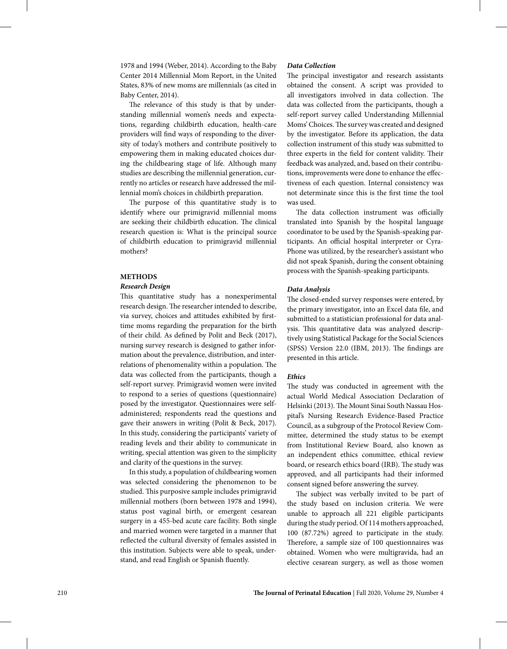1978 and 1994 (Weber, 2014). According to the Baby Center 2014 Millennial Mom Report, in the United States, 83% of new moms are millennials (as cited in Baby Center, 2014).

The relevance of this study is that by understanding millennial women's needs and expectations, regarding childbirth education, health-care providers will find ways of responding to the diversity of today's mothers and contribute positively to empowering them in making educated choices during the childbearing stage of life. Although many studies are describing the millennial generation, currently no articles or research have addressed the millennial mom's choices in childbirth preparation.

The purpose of this quantitative study is to identify where our primigravid millennial moms are seeking their childbirth education. The clinical research question is: What is the principal source of childbirth education to primigravid millennial mothers?

# **METHODS**

#### *Research Design*

This quantitative study has a nonexperimental research design. The researcher intended to describe, via survey, choices and attitudes exhibited by firsttime moms regarding the preparation for the birth of their child. As defined by Polit and Beck (2017), nursing survey research is designed to gather information about the prevalence, distribution, and interrelations of phenomenality within a population. The data was collected from the participants, though a self-report survey. Primigravid women were invited to respond to a series of questions (questionnaire) posed by the investigator. Questionnaires were selfadministered; respondents read the questions and gave their answers in writing (Polit & Beck, 2017). In this study, considering the participants' variety of reading levels and their ability to communicate in writing, special attention was given to the simplicity and clarity of the questions in the survey.

In this study, a population of childbearing women was selected considering the phenomenon to be studied. This purposive sample includes primigravid millennial mothers (born between 1978 and 1994), status post vaginal birth, or emergent cesarean surgery in a 455-bed acute care facility. Both single and married women were targeted in a manner that reflected the cultural diversity of females assisted in this institution. Subjects were able to speak, understand, and read English or Spanish fluently.

## *Data Collection*

The principal investigator and research assistants obtained the consent. A script was provided to all investigators involved in data collection. The data was collected from the participants, though a self-report survey called Understanding Millennial Moms' Choices. The survey was created and designed by the investigator. Before its application, the data collection instrument of this study was submitted to three experts in the field for content validity. Their feedback was analyzed, and, based on their contributions, improvements were done to enhance the effectiveness of each question. Internal consistency was not determinate since this is the first time the tool was used.

The data collection instrument was officially translated into Spanish by the hospital language coordinator to be used by the Spanish-speaking participants. An official hospital interpreter or Cyra-Phone was utilized, by the researcher's assistant who did not speak Spanish, during the consent obtaining process with the Spanish-speaking participants.

# *Data Analysis*

The closed-ended survey responses were entered, by the primary investigator, into an Excel data file, and submitted to a statistician professional for data analysis. This quantitative data was analyzed descriptively using Statistical Package for the Social Sciences (SPSS) Version 22.0 (IBM, 2013). The findings are presented in this article.

## *Ethics*

The study was conducted in agreement with the actual World Medical Association Declaration of Helsinki (2013). The Mount Sinai South Nassau Hospital's Nursing Research Evidence-Based Practice Council, as a subgroup of the Protocol Review Committee, determined the study status to be exempt from Institutional Review Board, also known as an independent ethics committee, ethical review board, or research ethics board (IRB). The study was approved, and all participants had their informed consent signed before answering the survey.

The subject was verbally invited to be part of the study based on inclusion criteria. We were unable to approach all 221 eligible participants during the study period. Of 114 mothers approached, 100 (87.72%) agreed to participate in the study. Therefore, a sample size of 100 questionnaires was obtained. Women who were multigravida, had an elective cesarean surgery, as well as those women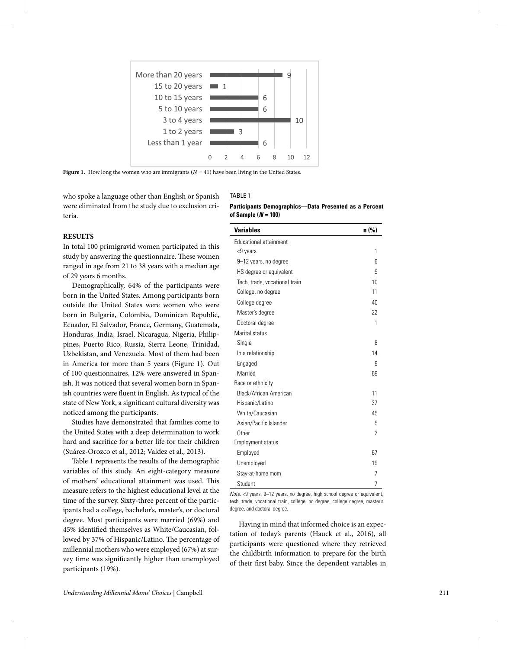

**Figure 1.** How long the women who are immigrants  $(N = 41)$  have been living in the United States.

who spoke a language other than English or Spanish were eliminated from the study due to exclusion criteria.

## **RESULTS**

In total 100 primigravid women participated in this study by answering the questionnaire. These women ranged in age from 21 to 38 years with a median age of 29 years 6 months.

Demographically, 64% of the participants were born in the United States. Among participants born outside the United States were women who were born in Bulgaria, Colombia, Dominican Republic, Ecuador, El Salvador, France, Germany, Guatemala, Honduras, India, Israel, Nicaragua, Nigeria, Philippines, Puerto Rico, Russia, Sierra Leone, Trinidad, Uzbekistan, and Venezuela. Most of them had been in America for more than 5 years (Figure 1). Out of 100 questionnaires, 12% were answered in Spanish. It was noticed that several women born in Spanish countries were fluent in English. As typical of the state of New York, a significant cultural diversity was noticed among the participants.

Studies have demonstrated that families come to the United States with a deep determination to work hard and sacrifice for a better life for their children (Suárez-Orozco et al., 2012; Valdez et al., 2013).

Table 1 represents the results of the demographic variables of this study. An eight-category measure of mothers' educational attainment was used. This measure refers to the highest educational level at the time of the survey. Sixty-three percent of the participants had a college, bachelor's, master's, or doctoral degree. Most participants were married (69%) and 45% identified themselves as White/Caucasian, followed by 37% of Hispanic/Latino. The percentage of millennial mothers who were employed (67%) at survey time was significantly higher than unemployed participants (19%).

# TABLE 1 **Participants Demographics—Data Presented as a Percent of Sample (***N* **= 100)**

| <b>Variables</b>              | n (%) |
|-------------------------------|-------|
| Educational attainment        |       |
| <9 years                      | 1     |
| 9-12 years, no degree         | 6     |
| HS degree or equivalent       | 9     |
| Tech, trade, vocational train | 10    |
| College, no degree            | 11    |
| College degree                | 40    |
| Master's degree               | 22    |
| Doctoral degree               | 1     |
| Marital status                |       |
| Single                        | 8     |
| In a relationship             | 14    |
| Engaged                       | 9     |
| Married                       | 69    |
| Race or ethnicity             |       |
| <b>Black/African American</b> | 11    |
| Hispanic/Latino               | 37    |
| White/Caucasian               | 45    |
| Asian/Pacific Islander        | 5     |
| Other                         | 2     |
| <b>Employment status</b>      |       |
| Employed                      | 67    |
| Unemployed                    | 19    |
| Stay-at-home mom              | 7     |
| Student                       | 7     |

*Note.* <9 years, 9–12 years, no degree, high school degree or equivalent, tech, trade, vocational train, college, no degree, college degree, master's degree, and doctoral degree.

Having in mind that informed choice is an expectation of today's parents (Hauck et al., 2016), all participants were questioned where they retrieved the childbirth information to prepare for the birth of their first baby. Since the dependent variables in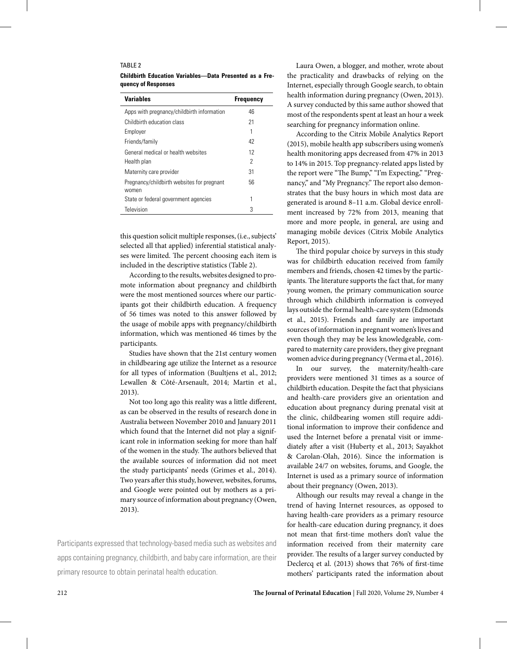#### TABLE 2

| <b>Childbirth Education Variables—Data Presented as a Fre-</b> |  |  |  |
|----------------------------------------------------------------|--|--|--|
| quency of Responses                                            |  |  |  |

| <b>Variables</b>                                    | <b>Frequency</b> |
|-----------------------------------------------------|------------------|
| Apps with pregnancy/childbirth information          | 46               |
| Childbirth education class                          | 21               |
| Employer                                            |                  |
| Friends/family                                      | 42               |
| General medical or health websites                  | 12               |
| Health plan                                         | 2                |
| Maternity care provider                             | 31               |
| Pregnancy/childbirth websites for pregnant<br>women | 56               |
| State or federal government agencies                | 1                |
| Television                                          | 3                |

this question solicit multiple responses, (i.e., subjects' selected all that applied) inferential statistical analyses were limited. The percent choosing each item is included in the descriptive statistics (Table 2).

According to the results, websites designed to promote information about pregnancy and childbirth were the most mentioned sources where our participants got their childbirth education. A frequency of 56 times was noted to this answer followed by the usage of mobile apps with pregnancy/childbirth information, which was mentioned 46 times by the participants.

Studies have shown that the 21st century women in childbearing age utilize the Internet as a resource for all types of information (Buultjens et al., 2012; Lewallen & Côté-Arsenault, 2014; Martin et al., 2013).

Not too long ago this reality was a little different, as can be observed in the results of research done in Australia between November 2010 and January 2011 which found that the Internet did not play a significant role in information seeking for more than half of the women in the study. The authors believed that the available sources of information did not meet the study participants' needs (Grimes et al., 2014). Two years after this study, however, websites, forums, and Google were pointed out by mothers as a primary source of information about pregnancy (Owen, 2013).

Participants expressed that technology-based media such as websites and apps containing pregnancy, childbirth, and baby care information, are their primary resource to obtain perinatal health education.

Laura Owen, a blogger, and mother, wrote about the practicality and drawbacks of relying on the Internet, especially through Google search, to obtain health information during pregnancy (Owen, 2013). A survey conducted by this same author showed that most of the respondents spent at least an hour a week searching for pregnancy information online.

According to the Citrix Mobile Analytics Report (2015), mobile health app subscribers using women's health monitoring apps decreased from 47% in 2013 to 14% in 2015. Top pregnancy-related apps listed by the report were "The Bump," "I'm Expecting," "Pregnancy," and "My Pregnancy." The report also demonstrates that the busy hours in which most data are generated is around 8–11 a.m. Global device enrollment increased by 72% from 2013, meaning that more and more people, in general, are using and managing mobile devices (Citrix Mobile Analytics Report, 2015).

The third popular choice by surveys in this study was for childbirth education received from family members and friends, chosen 42 times by the participants. The literature supports the fact that, for many young women, the primary communication source through which childbirth information is conveyed lays outside the formal health-care system (Edmonds et al., 2015). Friends and family are important sources of information in pregnant women's lives and even though they may be less knowledgeable, compared to maternity care providers, they give pregnant women advice during pregnancy (Verma et al., 2016).

In our survey, the maternity/health-care providers were mentioned 31 times as a source of childbirth education. Despite the fact that physicians and health-care providers give an orientation and education about pregnancy during prenatal visit at the clinic, childbearing women still require additional information to improve their confidence and used the Internet before a prenatal visit or immediately after a visit (Huberty et al., 2013; Sayakhot & Carolan-Olah, 2016). Since the information is available 24/7 on websites, forums, and Google, the Internet is used as a primary source of information about their pregnancy (Owen, 2013).

Although our results may reveal a change in the trend of having Internet resources, as opposed to having health-care providers as a primary resource for health-care education during pregnancy, it does not mean that first-time mothers don't value the information received from their maternity care provider. The results of a larger survey conducted by Declercq et al. (2013) shows that 76% of first-time mothers' participants rated the information about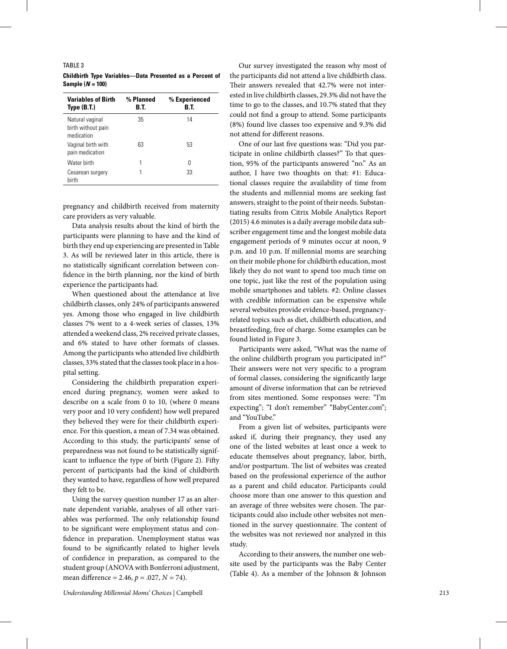#### TABLE 3

| <b>Variables of Birth</b><br>Type $(B.T.)$          | % Planned<br>B.T. | % Experienced<br>B.T. |
|-----------------------------------------------------|-------------------|-----------------------|
| Natural vaginal<br>birth without pain<br>medication | 35                | 14                    |
| Vaginal birth with<br>pain medication               | 63                | 53                    |
| Water hirth                                         | 1                 | N                     |
| Cesarean surgery<br>hirth                           |                   | 33                    |

**Childbirth Type Variables—Data Presented as a Percent of Sample (***N* **= 100)**

pregnancy and childbirth received from maternity care providers as very valuable.

Data analysis results about the kind of birth the participants were planning to have and the kind of birth they end up experiencing are presented in Table 3. As will be reviewed later in this article, there is no statistically significant correlation between confidence in the birth planning, nor the kind of birth experience the participants had.

When questioned about the attendance at live childbirth classes, only 24% of participants answered yes. Among those who engaged in live childbirth classes 7% went to a 4-week series of classes, 13% attended a weekend class, 2% received private classes, and 6% stated to have other formats of classes. Among the participants who attended live childbirth classes, 33% stated that the classes took place in a hospital setting.

Considering the childbirth preparation experienced during pregnancy, women were asked to describe on a scale from 0 to 10, (where 0 means very poor and 10 very confident) how well prepared they believed they were for their childbirth experience. For this question, a mean of 7.34 was obtained. According to this study, the participants' sense of preparedness was not found to be statistically significant to influence the type of birth (Figure 2). Fifty percent of participants had the kind of childbirth they wanted to have, regardless of how well prepared they felt to be.

Using the survey question number 17 as an alternate dependent variable, analyses of all other variables was performed. The only relationship found to be significant were employment status and confidence in preparation. Unemployment status was found to be significantly related to higher levels of confidence in preparation, as compared to the student group (ANOVA with Bonferroni adjustment, mean difference = 2.46, *p* = .027, *N* = 74).

Our survey investigated the reason why most of the participants did not attend a live childbirth class. Their answers revealed that 42.7% were not interested in live childbirth classes, 29.3% did not have the time to go to the classes, and 10.7% stated that they could not find a group to attend. Some participants (8%) found live classes too expensive and 9.3% did not attend for different reasons.

One of our last five questions was: "Did you participate in online childbirth classes?" To that question, 95% of the participants answered "no." As an author, I have two thoughts on that: #1: Educational classes require the availability of time from the students and millennial moms are seeking fast answers, straight to the point of their needs. Substantiating results from Citrix Mobile Analytics Report (2015) 4.6 minutes is a daily average mobile data subscriber engagement time and the longest mobile data engagement periods of 9 minutes occur at noon, 9 p.m. and 10 p.m. If millennial moms are searching on their mobile phone for childbirth education, most likely they do not want to spend too much time on one topic, just like the rest of the population using mobile smartphones and tablets. #2: Online classes with credible information can be expensive while several websites provide evidence-based, pregnancyrelated topics such as diet, childbirth education, and breastfeeding, free of charge. Some examples can be found listed in Figure 3.

Participants were asked, "What was the name of the online childbirth program you participated in?" Their answers were not very specific to a program of formal classes, considering the significantly large amount of diverse information that can be retrieved from sites mentioned. Some responses were: "I'm expecting"; "I don't remember" "BabyCenter.com"; and "YouTube."

From a given list of websites, participants were asked if, during their pregnancy, they used any one of the listed websites at least once a week to educate themselves about pregnancy, labor, birth, and/or postpartum. The list of websites was created based on the professional experience of the author as a parent and child educator. Participants could choose more than one answer to this question and an average of three websites were chosen. The participants could also include other websites not mentioned in the survey questionnaire. The content of the websites was not reviewed nor analyzed in this study.

According to their answers, the number one website used by the participants was the Baby Center (Table 4). As a member of the Johnson & Johnson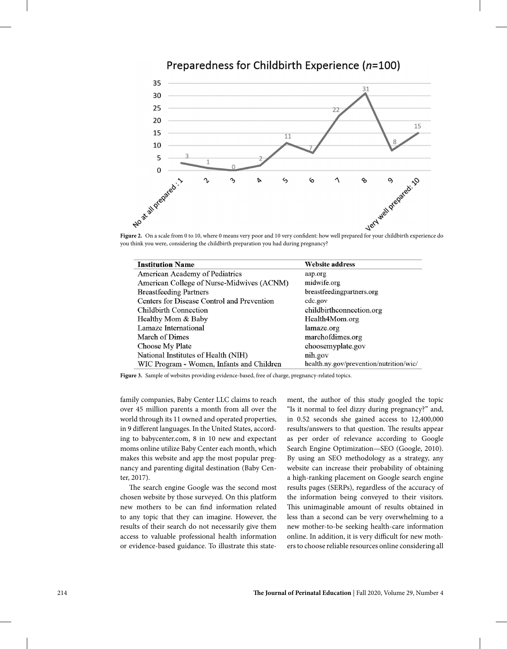

Preparedness for Childbirth Experience (n=100)

you think you were, considering the childbirth preparation you had during pregnancy?

| <b>Institution Name</b>                    | <b>Website address</b>                  |
|--------------------------------------------|-----------------------------------------|
| American Academy of Pediatrics             | aap.org                                 |
| American College of Nurse-Midwives (ACNM)  | midwife.org                             |
| <b>Breastfeeding Partners</b>              | breastfeedingpartners.org               |
| Centers for Disease Control and Prevention | cdc.gov                                 |
| Childbirth Connection                      | childbirthconnection.org                |
| Healthy Mom & Baby                         | Health4Mom.org                          |
| Lamaze International                       | lamaze.org                              |
| March of Dimes                             | marchofdimes.org                        |
| Choose My Plate                            | choosemyplate.gov                       |
| National Institutes of Health (NIH)        | nih.gov                                 |
| WIC Program - Women, Infants and Children  | health.ny.gov/prevention/nutrition/wic/ |

**Figure 3.** Sample of websites providing evidence-based, free of charge, pregnancy-related topics.

family companies, Baby Center LLC claims to reach over 45 million parents a month from all over the world through its 11 owned and operated properties, in 9 different languages. In the United States, according to babycenter.com, 8 in 10 new and expectant moms online utilize Baby Center each month, which makes this website and app the most popular pregnancy and parenting digital destination (Baby Center, 2017).

The search engine Google was the second most chosen website by those surveyed. On this platform new mothers to be can find information related to any topic that they can imagine. However, the results of their search do not necessarily give them access to valuable professional health information or evidence-based guidance. To illustrate this statement, the author of this study googled the topic "Is it normal to feel dizzy during pregnancy?" and, in 0.52 seconds she gained access to 12,400,000 results/answers to that question. The results appear as per order of relevance according to Google Search Engine Optimization—SEO (Google, 2010). By using an SEO methodology as a strategy, any website can increase their probability of obtaining a high-ranking placement on Google search engine results pages (SERPs), regardless of the accuracy of the information being conveyed to their visitors. This unimaginable amount of results obtained in less than a second can be very overwhelming to a new mother-to-be seeking health-care information online. In addition, it is very difficult for new mothers to choose reliable resources online considering all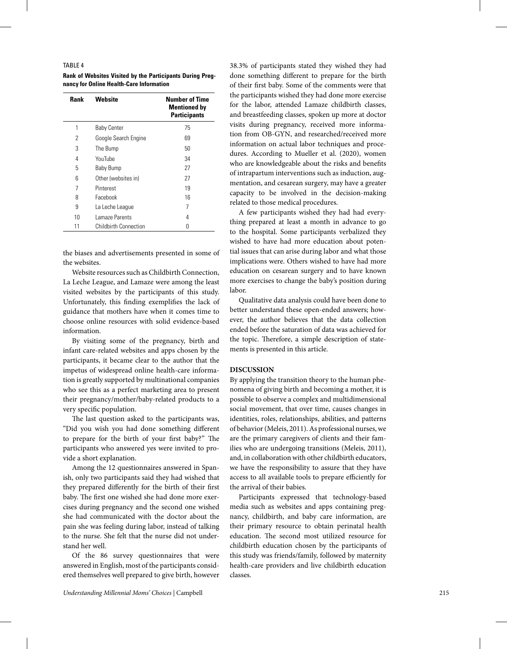#### TABLE 4

**Rank of Websites Visited by the Participants During Pregnancy for Online Health-Care Information**

| <b>Rank</b> | Website                      | <b>Number of Time</b><br><b>Mentioned by</b><br><b>Participants</b> |
|-------------|------------------------------|---------------------------------------------------------------------|
| 1           | <b>Baby Center</b>           | 75                                                                  |
| 2           | Google Search Engine         | 69                                                                  |
| 3           | The Bump                     | 50                                                                  |
| 4           | YouTube                      | 34                                                                  |
| 5           | Baby Bump                    | 27                                                                  |
| 6           | Other (websites in)          | 27                                                                  |
| 7           | Pinterest                    | 19                                                                  |
| 8           | Facebook                     | 16                                                                  |
| 9           | La Leche League              | 7                                                                   |
| 10          | Lamaze Parents               | 4                                                                   |
| 11          | <b>Childbirth Connection</b> | 0                                                                   |

the biases and advertisements presented in some of the websites.

Website resources such as Childbirth Connection, La Leche League, and Lamaze were among the least visited websites by the participants of this study. Unfortunately, this finding exemplifies the lack of guidance that mothers have when it comes time to choose online resources with solid evidence-based information.

By visiting some of the pregnancy, birth and infant care-related websites and apps chosen by the participants, it became clear to the author that the impetus of widespread online health-care information is greatly supported by multinational companies who see this as a perfect marketing area to present their pregnancy/mother/baby-related products to a very specific population.

The last question asked to the participants was, "Did you wish you had done something different to prepare for the birth of your first baby?" The participants who answered yes were invited to provide a short explanation.

Among the 12 questionnaires answered in Spanish, only two participants said they had wished that they prepared differently for the birth of their first baby. The first one wished she had done more exercises during pregnancy and the second one wished she had communicated with the doctor about the pain she was feeling during labor, instead of talking to the nurse. She felt that the nurse did not understand her well.

Of the 86 survey questionnaires that were answered in English, most of the participants considered themselves well prepared to give birth, however 38.3% of participants stated they wished they had done something different to prepare for the birth of their first baby. Some of the comments were that the participants wished they had done more exercise for the labor, attended Lamaze childbirth classes, and breastfeeding classes, spoken up more at doctor visits during pregnancy, received more information from OB-GYN, and researched/received more information on actual labor techniques and procedures. According to Mueller et al. (2020), women who are knowledgeable about the risks and benefits of intrapartum interventions such as induction, augmentation, and cesarean surgery, may have a greater capacity to be involved in the decision-making related to those medical procedures.

A few participants wished they had had everything prepared at least a month in advance to go to the hospital. Some participants verbalized they wished to have had more education about potential issues that can arise during labor and what those implications were. Others wished to have had more education on cesarean surgery and to have known more exercises to change the baby's position during labor.

Qualitative data analysis could have been done to better understand these open-ended answers; however, the author believes that the data collection ended before the saturation of data was achieved for the topic. Therefore, a simple description of statements is presented in this article.

# **DISCUSSION**

By applying the transition theory to the human phenomena of giving birth and becoming a mother, it is possible to observe a complex and multidimensional social movement, that over time, causes changes in identities, roles, relationships, abilities, and patterns of behavior (Meleis, 2011). As professional nurses, we are the primary caregivers of clients and their families who are undergoing transitions (Meleis, 2011), and, in collaboration with other childbirth educators, we have the responsibility to assure that they have access to all available tools to prepare efficiently for the arrival of their babies.

Participants expressed that technology-based media such as websites and apps containing pregnancy, childbirth, and baby care information, are their primary resource to obtain perinatal health education. The second most utilized resource for childbirth education chosen by the participants of this study was friends/family, followed by maternity health-care providers and live childbirth education classes.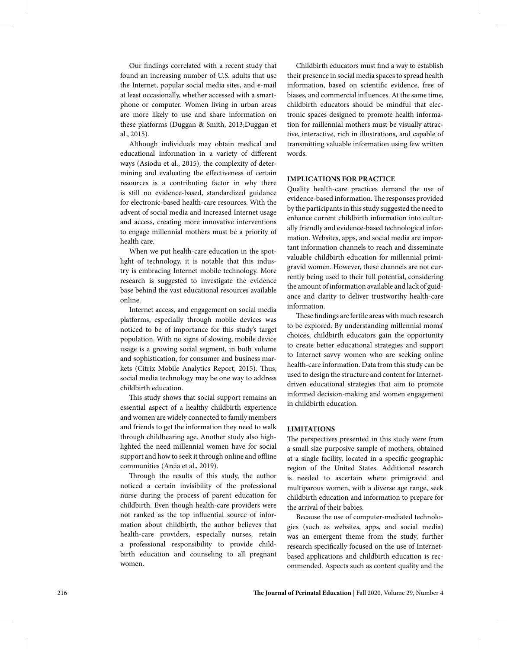Our findings correlated with a recent study that found an increasing number of U.S. adults that use the Internet, popular social media sites, and e-mail at least occasionally, whether accessed with a smartphone or computer. Women living in urban areas are more likely to use and share information on these platforms (Duggan & Smith, 2013;Duggan et al., 2015).

Although individuals may obtain medical and educational information in a variety of different ways (Asiodu et al., 2015), the complexity of determining and evaluating the effectiveness of certain resources is a contributing factor in why there is still no evidence-based, standardized guidance for electronic-based health-care resources. With the advent of social media and increased Internet usage and access, creating more innovative interventions to engage millennial mothers must be a priority of health care.

When we put health-care education in the spotlight of technology, it is notable that this industry is embracing Internet mobile technology. More research is suggested to investigate the evidence base behind the vast educational resources available online.

Internet access, and engagement on social media platforms, especially through mobile devices was noticed to be of importance for this study's target population. With no signs of slowing, mobile device usage is a growing social segment, in both volume and sophistication, for consumer and business markets (Citrix Mobile Analytics Report, 2015). Thus, social media technology may be one way to address childbirth education.

This study shows that social support remains an essential aspect of a healthy childbirth experience and women are widely connected to family members and friends to get the information they need to walk through childbearing age. Another study also highlighted the need millennial women have for social support and how to seek it through online and offline communities (Arcia et al., 2019).

Through the results of this study, the author noticed a certain invisibility of the professional nurse during the process of parent education for childbirth. Even though health-care providers were not ranked as the top influential source of information about childbirth, the author believes that health-care providers, especially nurses, retain a professional responsibility to provide childbirth education and counseling to all pregnant women.

Childbirth educators must find a way to establish their presence in social media spaces to spread health information, based on scientific evidence, free of biases, and commercial influences. At the same time, childbirth educators should be mindful that electronic spaces designed to promote health information for millennial mothers must be visually attractive, interactive, rich in illustrations, and capable of transmitting valuable information using few written words.

## **IMPLICATIONS FOR PRACTICE**

Quality health-care practices demand the use of evidence-based information. The responses provided by the participants in this study suggested the need to enhance current childbirth information into culturally friendly and evidence-based technological information. Websites, apps, and social media are important information channels to reach and disseminate valuable childbirth education for millennial primigravid women. However, these channels are not currently being used to their full potential, considering the amount of information available and lack of guidance and clarity to deliver trustworthy health-care information.

These findings are fertile areas with much research to be explored. By understanding millennial moms' choices, childbirth educators gain the opportunity to create better educational strategies and support to Internet savvy women who are seeking online health-care information. Data from this study can be used to design the structure and content for Internetdriven educational strategies that aim to promote informed decision-making and women engagement in childbirth education.

## **LIMITATIONS**

The perspectives presented in this study were from a small size purposive sample of mothers, obtained at a single facility, located in a specific geographic region of the United States. Additional research is needed to ascertain where primigravid and multiparous women, with a diverse age range, seek childbirth education and information to prepare for the arrival of their babies.

Because the use of computer-mediated technologies (such as websites, apps, and social media) was an emergent theme from the study, further research specifically focused on the use of Internetbased applications and childbirth education is recommended. Aspects such as content quality and the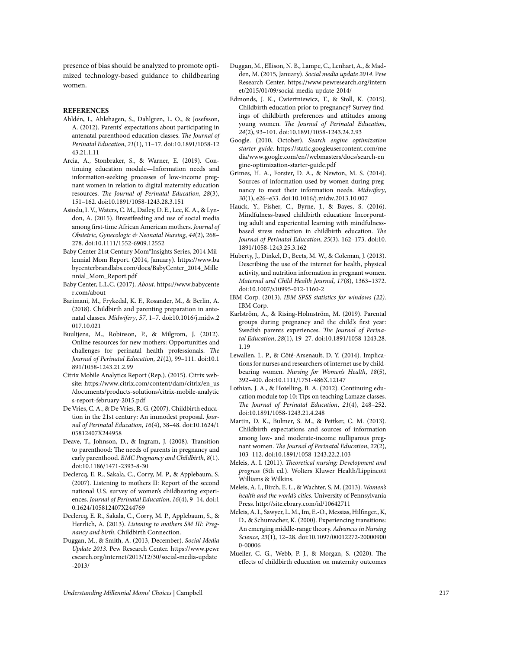presence of bias should be analyzed to promote optimized technology-based guidance to childbearing women.

## **REFERENCES**

- Ahldén, I., Ahlehagen, S., Dahlgren, L. O., & Josefsson, A. (2012). Parents' expectations about participating in antenatal parenthood education classes. *The Journal of Perinatal Education*, *21*(1), 11–17. doi:10.1891/1058-12 43.21.1.11
- Arcia, A., Stonbraker, S., & Warner, E. (2019). Continuing education module—Information needs and information-seeking processes of low-income pregnant women in relation to digital maternity education resources. *The Journal of Perinatal Education*, *28*(3), 151–162. doi:10.1891/1058-1243.28.3.151
- Asiodu, I. V., Waters, C. M., Dailey, D. E., Lee, K. A., & Lyndon, A. (2015). Breastfeeding and use of social media among first‐time African American mothers. *Journal of Obstetric, Gynecologic & Neonatal Nursing*, *44*(2), 268– 278. doi:10.1111/1552-6909.12552
- Baby Center 21st Century Mom®Insights Series, 2014 Millennial Mom Report. (2014, January). https://www.ba bycenterbrandlabs.com/docs/BabyCenter\_2014\_Mille nnial\_Mom\_Report.pdf
- Baby Center, L.L.C. (2017). *About*. https://www.babycente r.com/about
- Barimani, M., Frykedal, K. F., Rosander, M., & Berlin, A. (2018). Childbirth and parenting preparation in antenatal classes. *Midwifery*, *57*, 1–7. doi:10.1016/j.midw.2 017.10.021
- Buultjens, M., Robinson, P., & Milgrom, J. (2012). Online resources for new mothers: Opportunities and challenges for perinatal health professionals. *The Journal of Perinatal Education*, *21*(2), 99–111. doi:10.1 891/1058-1243.21.2.99
- Citrix Mobile Analytics Report (Rep.). (2015). Citrix website: https://www.citrix.com/content/dam/citrix/en\_us /documents/products-solutions/citrix-mobile-analytic s-report-february-2015.pdf
- De Vries, C. A., & De Vries, R. G. (2007). Childbirth education in the 21st century: An immodest proposal. *Journal of Perinatal Education*, *16*(4), 38–48. doi:10.1624/1 05812407X244958
- Deave, T., Johnson, D., & Ingram, J. (2008). Transition to parenthood: The needs of parents in pregnancy and early parenthood. *BMC Pregnancy and Childbirth*, *8*(1). doi:10.1186/1471-2393-8-30
- Declercq, E. R., Sakala, C., Corry, M. P., & Applebaum, S. (2007). Listening to mothers II: Report of the second national U.S. survey of women's childbearing experiences. *Journal of Perinatal Education*, *16*(4), 9–14. doi:1 0.1624/105812407X244769
- Declercq, E. R., Sakala, C., Corry, M. P., Applebaum, S., & Herrlich, A. (2013). *Listening to mothers SM III: Pregnancy and birth*. Childbirth Connection.
- Duggan, M., & Smith, A. (2013, December). *Social Media Update 2013*. Pew Research Center. https://www.pewr esearch.org/internet/2013/12/30/social-media-update -2013/
- Duggan, M., Ellison, N. B., Lampe, C., Lenhart, A., & Madden, M. (2015, January). *Social media update 2014*. Pew Research Center. https://www.pewresearch.org/intern et/2015/01/09/social-media-update-2014/
- Edmonds, J. K., Cwiertniewicz, T., & Stoll, K. (2015). Childbirth education prior to pregnancy? Survey findings of childbirth preferences and attitudes among young women. *The Journal of Perinatal Education*, *24*(2), 93–101. doi:10.1891/1058-1243.24.2.93
- Google. (2010, October). Search engine optimization *starter guide*. https://static.googleusercontent.com/me dia/www.google.com/en//webmasters/docs/search-en gine-optimization-starter-guide.pdf
- Grimes, H. A., Forster, D. A., & Newton, M. S. (2014). Sources of information used by women during pregnancy to meet their information needs. *Midwifery*, *30*(1), e26–e33. doi:10.1016/j.midw.2013.10.007
- Hauck, Y., Fisher, C., Byrne, J., & Bayes, S. (2016). Mindfulness-based childbirth education: Incorporating adult and experiential learning with mindfulnessbased stress reduction in childbirth education. *The Journal of Perinatal Education*, *25*(3), 162–173. doi:10. 1891/1058-1243.25.3.162
- Huberty, J., Dinkel, D., Beets, M. W., & Coleman, J. (2013). Describing the use of the internet for health, physical activity, and nutrition information in pregnant women. *Maternal and Child Health Journal*, *17*(8), 1363–1372. doi:10.1007/s10995-012-1160-2
- IBM Corp. (2013). *IBM SPSS statistics for windows (22)*. IBM Corp.
- Karlström, A., & Rising-Holmström, M. (2019). Parental groups during pregnancy and the child's first year: Swedish parents experiences. *The Journal of Perinatal Education*, *28*(1), 19–27. doi:10.1891/1058-1243.28. 1.19
- Lewallen, L. P., & Côté-Arsenault, D. Y. (2014). Implications for nurses and researchers of internet use by childbearing women. *Nursing for Women's Health*, *18*(5), 392–400. doi:10.1111/1751-486X.12147
- Lothian, J. A., & Hotelling, B. A. (2012). Continuing education module top 10: Tips on teaching Lamaze classes. *The Journal of Perinatal Education*, *21*(4), 248–252. doi:10.1891/1058-1243.21.4.248
- Martin, D. K., Bulmer, S. M., & Pettker, C. M. (2013). Childbirth expectations and sources of information among low- and moderate-income nulliparous pregnant women. *The Journal of Perinatal Education*, *22*(2), 103–112. doi:10.1891/1058-1243.22.2.103
- Meleis, A. I. (2011). *Theoretical nursing: Development and progress* (5th ed.). Wolters Kluwer Health/Lippincott Williams & Wilkins.
- Meleis, A. I., Birch, E. L., & Wachter, S. M. (2013). *Women's health and the world's cities*. University of Pennsylvania Press. http://site.ebrary.com/id/10642711
- Meleis, A. I., Sawyer, L. M., Im, E.-O., Messias, Hilfinger., K, D., & Schumacher, K. (2000). Experiencing transitions: An emerging middle-range theory. *Advances in Nursing Science*, *23*(1), 12–28. doi:10.1097/00012272-20000900 0-00006
- Mueller, C. G., Webb, P. J., & Morgan, S. (2020). The effects of childbirth education on maternity outcomes